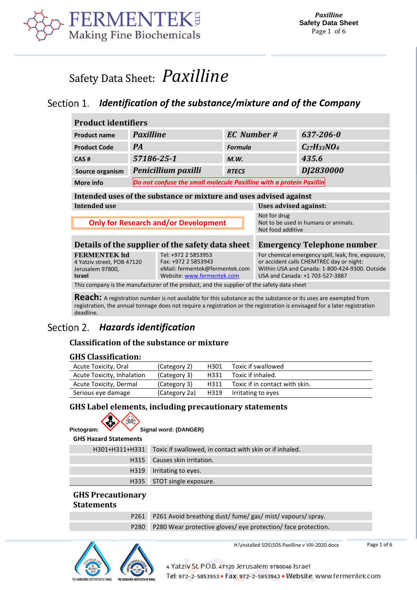

# Safety Data Sheet: *[Paxilline](prodname)*

## *Identification of the substance/mixture and of the Company*

<span id="page-0-0"></span>

| <b>Product identifiers</b>                                                                                                                                                                            |                                                                     |                     |                                                                           |                                                                                                                                                                                      |                    |
|-------------------------------------------------------------------------------------------------------------------------------------------------------------------------------------------------------|---------------------------------------------------------------------|---------------------|---------------------------------------------------------------------------|--------------------------------------------------------------------------------------------------------------------------------------------------------------------------------------|--------------------|
| <b>Product name</b>                                                                                                                                                                                   | <b>Paxilline</b>                                                    | <b>EC</b> Number #  |                                                                           | 637-206-0                                                                                                                                                                            |                    |
| <b>Product Code</b>                                                                                                                                                                                   | <b>PA</b>                                                           |                     | <b>Formula</b>                                                            |                                                                                                                                                                                      | $C_{27}H_{33}NO_4$ |
| CAS#                                                                                                                                                                                                  | 57186-25-1                                                          |                     | M.W.                                                                      |                                                                                                                                                                                      | 435.6              |
| Source organism                                                                                                                                                                                       |                                                                     | Penicillium paxilli | <b>RTECS</b>                                                              |                                                                                                                                                                                      | DJ2830000          |
| More info                                                                                                                                                                                             | Do not confuse the small molecule Paxilline with a protein Paxillin |                     |                                                                           |                                                                                                                                                                                      |                    |
| Intended uses of the substance or mixture and uses advised against                                                                                                                                    |                                                                     |                     |                                                                           |                                                                                                                                                                                      |                    |
| Intended use                                                                                                                                                                                          |                                                                     |                     | Uses advised against:                                                     |                                                                                                                                                                                      |                    |
| <b>Only for Research and/or Development</b>                                                                                                                                                           |                                                                     |                     | Not for drug<br>Not to be used in humans or animals.<br>Not food additive |                                                                                                                                                                                      |                    |
| Details of the supplier of the safety data sheet<br><b>Emergency Telephone number</b>                                                                                                                 |                                                                     |                     |                                                                           |                                                                                                                                                                                      |                    |
| <b>FERMENTEK ltd</b><br>Tel: +972 2 5853953<br>Fax: +972 2 5853943<br>4 Yatziv street, POB 47120<br>eMail: fermentek@fermentek.com<br>Jerusalem 97800,<br>Website: www.fermentek.com<br><b>Israel</b> |                                                                     |                     |                                                                           | For chemical emergency spill, leak, fire, exposure,<br>or accident calls CHEMTREC day or night:<br>Within USA and Canada: 1-800-424-9300, Outside<br>USA and Canada: +1 703-527-3887 |                    |
| This company is the manufacturer of the product, and the supplier of the safety data sheet                                                                                                            |                                                                     |                     |                                                                           |                                                                                                                                                                                      |                    |

**Reach:** A registration number is not available for this substance as the substance or its uses are exempted from registration, the annual tonnage does not require a registration or the registration is envisaged for a later registration deadline.

#### Section 2. *Hazards identification*

## **Classification of the substance or mixture**

## **GHS Classification:**

| Acute Toxicity, Oral       | (Category 2)  | H301 | Toxic if swallowed             |
|----------------------------|---------------|------|--------------------------------|
| Acute Toxicity, Inhalation | (Category 3)  | H331 | Toxic if inhaled.              |
| Acute Toxicity, Dermal     | (Category 3)  | H311 | Toxic if in contact with skin. |
| Serious eye damage         | (Category 2a) |      | H319 Irritating to eyes        |

## **GHS Label elements, including precautionary statements**

| ٠<br>٠ |  | Sir<br> |
|--------|--|---------|

Pictogram: **W** Signal word: {DANGER}

| <b>GHS Hazard Statements</b> |                                                                        |
|------------------------------|------------------------------------------------------------------------|
|                              | H301+H311+H331 Toxic if swallowed, in contact with skin or if inhaled. |
|                              | H315 Causes skin irritation.                                           |
| H319                         | Irritating to eyes.                                                    |
|                              | H335 STOT single exposure.                                             |

#### **GHS Precautionary Statements**

| P261 P261 Avoid breathing dust/fume/gas/mist/vapours/spray.      |
|------------------------------------------------------------------|
| P280 P280 Wear protective gloves/eye protection/face protection. |



H:\installed SDS\SDS Paxilline v VIII-2020.docx

Page 1 of 6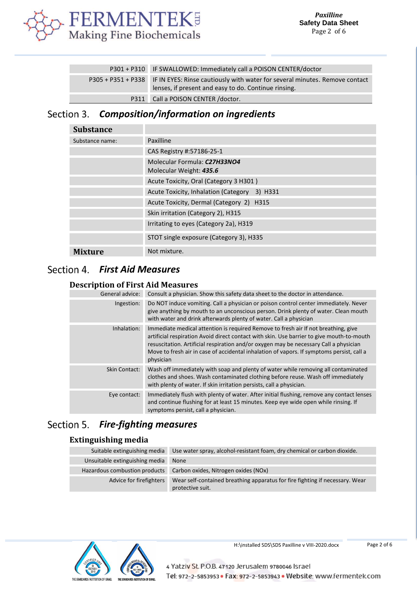

| P301 + P310 IF SWALLOWED: Immediately call a POISON CENTER/doctor                                                                                      |
|--------------------------------------------------------------------------------------------------------------------------------------------------------|
| P305 + P351 + P338 IF IN EYES: Rinse cautiously with water for several minutes. Remove contact<br>lenses, if present and easy to do. Continue rinsing. |
| P311 Call a POISON CENTER / doctor.                                                                                                                    |

#### *Composition/information on ingredients* Section 3.

| <b>Substance</b> |                                                         |
|------------------|---------------------------------------------------------|
| Substance name:  | Paxilline                                               |
|                  | CAS Registry #:57186-25-1                               |
|                  | Molecular Formula: C27H33NO4<br>Molecular Weight: 435.6 |
|                  | Acute Toxicity, Oral (Category 3 H301)                  |
|                  | Acute Toxicity, Inhalation (Category 3) H331            |
|                  | Acute Toxicity, Dermal (Category 2) H315                |
|                  | Skin irritation (Category 2), H315                      |
|                  | Irritating to eyes (Category 2a), H319                  |
|                  | STOT single exposure (Category 3), H335                 |
| <b>Mixture</b>   | Not mixture.                                            |

## *First Aid Measures*

## **Description of First Aid Measures**

| General advice:      | Consult a physician. Show this safety data sheet to the doctor in attendance.                                                                                                                                                                                                                                                                                                      |
|----------------------|------------------------------------------------------------------------------------------------------------------------------------------------------------------------------------------------------------------------------------------------------------------------------------------------------------------------------------------------------------------------------------|
| Ingestion:           | Do NOT induce vomiting. Call a physician or poison control center immediately. Never<br>give anything by mouth to an unconscious person. Drink plenty of water. Clean mouth<br>with water and drink afterwards plenty of water. Call a physician                                                                                                                                   |
| Inhalation:          | Immediate medical attention is required Remove to fresh air If not breathing, give<br>artificial respiration Avoid direct contact with skin. Use barrier to give mouth-to-mouth<br>resuscitation. Artificial respiration and/or oxygen may be necessary Call a physician<br>Move to fresh air in case of accidental inhalation of vapors. If symptoms persist, call a<br>physician |
| <b>Skin Contact:</b> | Wash off immediately with soap and plenty of water while removing all contaminated<br>clothes and shoes. Wash contaminated clothing before reuse. Wash off immediately<br>with plenty of water. If skin irritation persists, call a physician.                                                                                                                                     |
| Eye contact:         | Immediately flush with plenty of water. After initial flushing, remove any contact lenses<br>and continue flushing for at least 15 minutes. Keep eye wide open while rinsing. If<br>symptoms persist, call a physician.                                                                                                                                                            |

## *Fire-fighting measures*

## **Extinguishing media**

| Suitable extinguishing media   | Use water spray, alcohol-resistant foam, dry chemical or carbon dioxide.                         |
|--------------------------------|--------------------------------------------------------------------------------------------------|
| Unsuitable extinguishing media | None                                                                                             |
| Hazardous combustion products  | Carbon oxides, Nitrogen oxides (NOx)                                                             |
| Advice for firefighters        | Wear self-contained breathing apparatus for fire fighting if necessary. Wear<br>protective suit. |

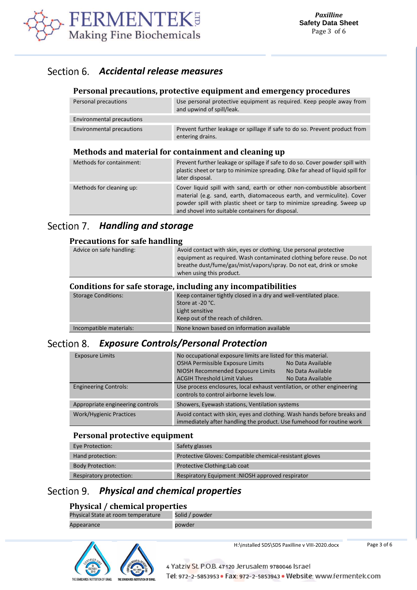

## *Accidental release measures*

## **Personal precautions, protective equipment and emergency procedures**

| Personal precautions      | Use personal protective equipment as required. Keep people away from<br>and upwind of spill/leak. |
|---------------------------|---------------------------------------------------------------------------------------------------|
| Environmental precautions |                                                                                                   |
| Environmental precautions | Prevent further leakage or spillage if safe to do so. Prevent product from<br>entering drains.    |

#### **Methods and material for containment and cleaning up**

| Methods for containment: | Prevent further leakage or spillage if safe to do so. Cover powder spill with<br>plastic sheet or tarp to minimize spreading. Dike far ahead of liquid spill for<br>later disposal.                                                                                               |
|--------------------------|-----------------------------------------------------------------------------------------------------------------------------------------------------------------------------------------------------------------------------------------------------------------------------------|
| Methods for cleaning up: | Cover liquid spill with sand, earth or other non-combustible absorbent<br>material (e.g. sand, earth, diatomaceous earth, and vermiculite). Cover<br>powder spill with plastic sheet or tarp to minimize spreading. Sweep up<br>and shovel into suitable containers for disposal. |

## Section 7. **Handling and storage**

## **Precautions for safe handling**

| Advice on safe handling: | Avoid contact with skin, eyes or clothing. Use personal protective<br>equipment as required. Wash contaminated clothing before reuse. Do not<br>breathe dust/fume/gas/mist/vapors/spray. Do not eat, drink or smoke<br>when using this product. |
|--------------------------|-------------------------------------------------------------------------------------------------------------------------------------------------------------------------------------------------------------------------------------------------|
|                          | Conditions for safe storage, including any incompatibilities                                                                                                                                                                                    |
| Storago Conditions:      | Keep container tightly closed in a dry and well ventilated place                                                                                                                                                                                |

| <b>Storage Conditions:</b> | Keep container tightly closed in a dry and well-ventilated place.<br>Store at -20 °C.<br>Light sensitive<br>Keep out of the reach of children. |
|----------------------------|------------------------------------------------------------------------------------------------------------------------------------------------|
| Incompatible materials:    | None known based on information available                                                                                                      |

## *Exposure Controls/Personal Protection*

| <b>Exposure Limits</b>           | No occupational exposure limits are listed for this material.<br>OSHA Permissible Exposure Limits<br>NIOSH Recommended Exposure Limits<br><b>ACGIH Threshold Limit Values</b> | No Data Available<br>No Data Available<br>No Data Available |
|----------------------------------|-------------------------------------------------------------------------------------------------------------------------------------------------------------------------------|-------------------------------------------------------------|
| <b>Engineering Controls:</b>     | Use process enclosures, local exhaust ventilation, or other engineering<br>controls to control airborne levels low.                                                           |                                                             |
| Appropriate engineering controls | Showers, Eyewash stations, Ventilation systems                                                                                                                                |                                                             |
| <b>Work/Hygienic Practices</b>   | Avoid contact with skin, eyes and clothing. Wash hands before breaks and<br>immediately after handling the product. Use fumehood for routine work                             |                                                             |

#### **Personal protective equipment**

| Eye Protection:         | Safety glasses                                          |
|-------------------------|---------------------------------------------------------|
| Hand protection:        | Protective Gloves: Compatible chemical-resistant gloves |
| <b>Body Protection:</b> | Protective Clothing: Lab coat                           |
| Respiratory protection: | Respiratory Equipment: NIOSH approved respirator        |

## *Physical and chemical properties*

## **Physical / chemical properties**

| Physical State at room temperature | Solid / powder |
|------------------------------------|----------------|
| Appearance                         | powder         |



4 Yatziv St. P.O.B. 47120 Jerusalem 9780046 Israel Tel: 972-2-5853953 · Fax: 972-2-5853943 · Website: www.fermentek.com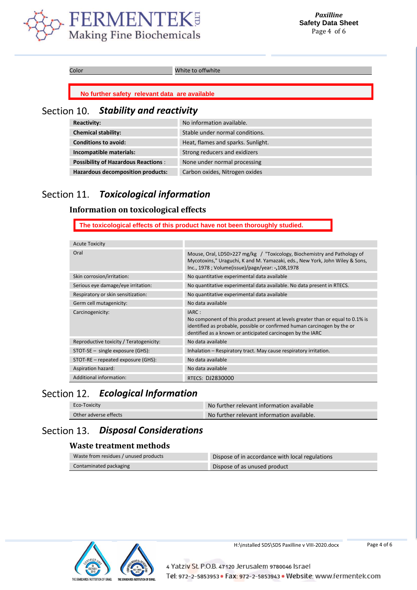

Color White to offwhite

**No further safety relevant data are available**

## *Stability and reactivity*

| <b>Reactivity:</b>                         | No information available.          |
|--------------------------------------------|------------------------------------|
| <b>Chemical stability:</b>                 | Stable under normal conditions.    |
| <b>Conditions to avoid:</b>                | Heat, flames and sparks. Sunlight. |
| Incompatible materials:                    | Strong reducers and exidizers      |
| <b>Possibility of Hazardous Reactions:</b> | None under normal processing       |
| <b>Hazardous decomposition products:</b>   | Carbon oxides, Nitrogen oxides     |

#### Section 11. *Toxicological information*

### **Information on toxicological effects**

**The toxicological effects of this product have not been thoroughly studied.**

| <b>Acute Toxicity</b>                   |                                                                                                                                                                                                                                    |
|-----------------------------------------|------------------------------------------------------------------------------------------------------------------------------------------------------------------------------------------------------------------------------------|
| Oral                                    | Mouse, Oral, LD50>227 mg/kg / "Toxicology, Biochemistry and Pathology of<br>Mycotoxins," Uraguchi, K and M. Yamazaki, eds., New York, John Wiley & Sons,<br>Inc., 1978 ; Volume(issue)/page/year: -,108,1978                       |
| Skin corrosion/irritation:              | No quantitative experimental data available                                                                                                                                                                                        |
| Serious eye damage/eye irritation:      | No quantitative experimental data available. No data present in RTECS.                                                                                                                                                             |
| Respiratory or skin sensitization:      | No quantitative experimental data available                                                                                                                                                                                        |
| Germ cell mutagenicity:                 | No data available                                                                                                                                                                                                                  |
| Carcinogenicity:                        | IARC:<br>No component of this product present at levels greater than or equal to 0.1% is<br>identified as probable, possible or confirmed human carcinogen by the or<br>dentified as a known or anticipated carcinogen by the IARC |
| Reproductive toxicity / Teratogenicity: | No data available                                                                                                                                                                                                                  |
| $STOT-SE$ – single exposure (GHS):      | Inhalation – Respiratory tract. May cause respiratory irritation.                                                                                                                                                                  |
| STOT-RE – repeated exposure (GHS):      | No data available                                                                                                                                                                                                                  |
| Aspiration hazard:                      | No data available                                                                                                                                                                                                                  |
| Additional information:                 | RTECS: DJ2830000                                                                                                                                                                                                                   |

## *Ecological Information*

| Eco-Toxicity          | No further relevant information available  |
|-----------------------|--------------------------------------------|
| Other adverse effects | No further relevant information available. |

## *Disposal Considerations*

#### **Waste treatment methods**

| Waste from residues / unused products | Dispose of in accordance with local regulations |
|---------------------------------------|-------------------------------------------------|
| Contaminated packaging                | Dispose of as unused product                    |



H:\installed SDS\SDS Paxilline v VIII-2020.docx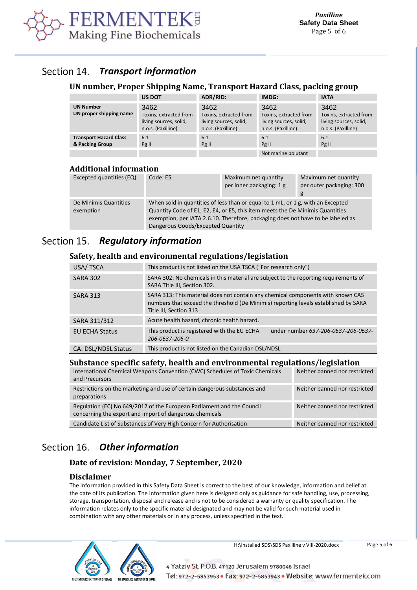

#### Section 14. *Transport information*

#### **UN number, Proper Shipping Name, Transport Hazard Class, packing group**

|                                                  | <b>US DOT</b>                                                                  | ADR/RID:                                                                       | IMDG:                                                                          | <b>IATA</b>                                                                    |
|--------------------------------------------------|--------------------------------------------------------------------------------|--------------------------------------------------------------------------------|--------------------------------------------------------------------------------|--------------------------------------------------------------------------------|
| <b>UN Number</b><br>UN proper shipping name      | 3462<br>Toxins, extracted from<br>living sources, solid,<br>n.o.s. (Paxilline) | 3462<br>Toxins, extracted from<br>living sources, solid,<br>n.o.s. (Paxilline) | 3462<br>Toxins, extracted from<br>living sources, solid,<br>n.o.s. (Paxilline) | 3462<br>Toxins, extracted from<br>living sources, solid,<br>n.o.s. (Paxilline) |
| <b>Transport Hazard Class</b><br>& Packing Group | 6.1<br>Pg II                                                                   | 6.1<br>Pg II                                                                   | 6.1<br>Pg II<br>Not marine polutant                                            | 6.1<br>Pg II                                                                   |

## **Additional information**

| Excepted quantities (EQ)           | Code: E5                          | Maximum net quantity<br>per inner packaging: 1 g                                                                                                                                                                                                    | Maximum net quantity<br>per outer packaging: 300<br>g |
|------------------------------------|-----------------------------------|-----------------------------------------------------------------------------------------------------------------------------------------------------------------------------------------------------------------------------------------------------|-------------------------------------------------------|
| De Minimis Quantities<br>exemption | Dangerous Goods/Excepted Quantity | When sold in quantities of less than or equal to 1 mL, or 1 g, with an Excepted<br>Quantity Code of E1, E2, E4, or E5, this item meets the De Minimis Quantities<br>exemption, per IATA 2.6.10. Therefore, packaging does not have to be labeled as |                                                       |

#### Section 15. *Regulatory information*

## **Safety, health and environmental regulations/legislation**

| USA/TSCA              | This product is not listed on the USA TSCA ("For research only")                                                                                                                                 |  |  |
|-----------------------|--------------------------------------------------------------------------------------------------------------------------------------------------------------------------------------------------|--|--|
| <b>SARA 302</b>       | SARA 302: No chemicals in this material are subject to the reporting requirements of<br>SARA Title III, Section 302.                                                                             |  |  |
| <b>SARA 313</b>       | SARA 313: This material does not contain any chemical components with known CAS<br>numbers that exceed the threshold (De Minimis) reporting levels established by SARA<br>Title III, Section 313 |  |  |
| SARA 311/312          | Acute health hazard, chronic health hazard.                                                                                                                                                      |  |  |
| <b>EU ECHA Status</b> | This product is registered with the EU ECHA<br>under number 637-206-0637-206-0637-<br>206-0637-206-0                                                                                             |  |  |
| CA: DSL/NDSL Status   | This product is not listed on the Canadian DSL/NDSL                                                                                                                                              |  |  |
|                       |                                                                                                                                                                                                  |  |  |

## **Substance specific safety, health and environmental regulations/legislation**

| International Chemical Weapons Convention (CWC) Schedules of Toxic Chemicals<br>and Precursors                                    | Neither banned nor restricted |
|-----------------------------------------------------------------------------------------------------------------------------------|-------------------------------|
| Restrictions on the marketing and use of certain dangerous substances and<br>preparations                                         | Neither banned nor restricted |
| Regulation (EC) No 649/2012 of the European Parliament and the Council<br>concerning the export and import of dangerous chemicals | Neither banned nor restricted |
| Candidate List of Substances of Very High Concern for Authorisation                                                               | Neither banned nor restricted |

## *Other information*

## **Date of revision: Monday, 7 September, 2020**

#### **Disclaimer**

The information provided in this Safety Data Sheet is correct to the best of our knowledge, information and belief at the date of its publication. The information given here is designed only as guidance for safe handling, use, processing, storage, transportation, disposal and release and is not to be considered a warranty or quality specification. The information relates only to the specific material designated and may not be valid for such material used in combination with any other materials or in any process, unless specified in the text.



H:\installed SDS\SDS Paxilline v VIII-2020.docx

Page 5 of 6

4 Yatziv St. P.O.B. 47120 Jerusalem 9780046 Israel Tel: 972-2-5853953 · Fax: 972-2-5853943 · Website: www.fermentek.com